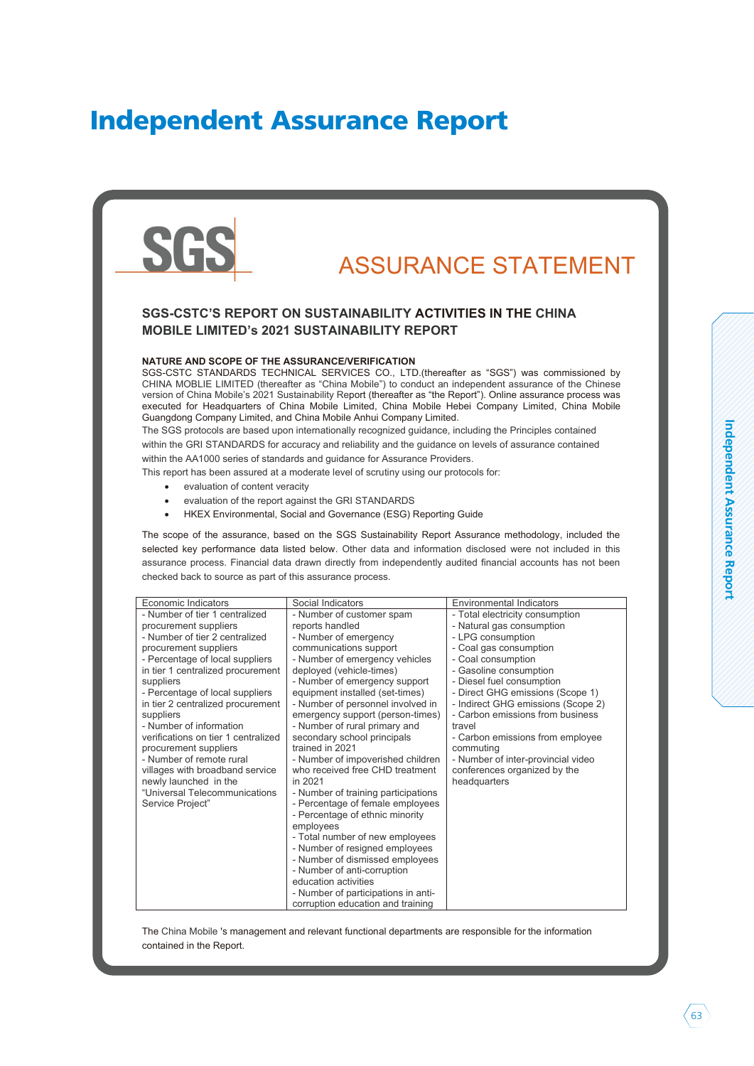# Independent Assurance Report



The China Mobile 's management and relevant functional departments are responsible for the information contained in the Report.